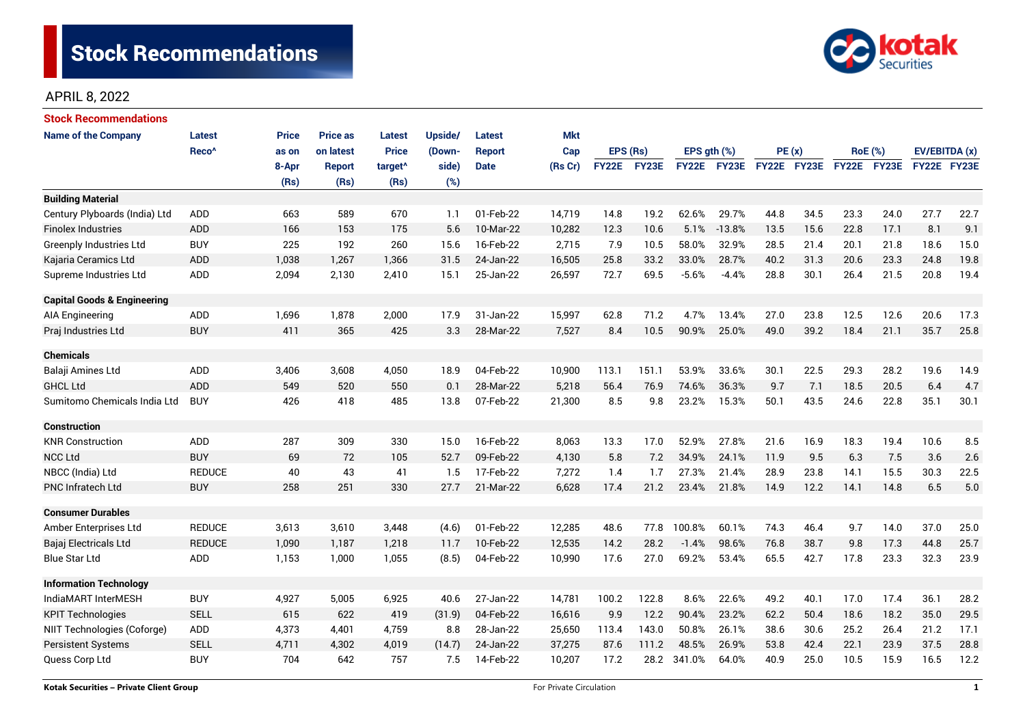

| Stock Recommendations                  |                   |              |                 |                     |         |               |            |              |       |             |             |             |      |                |      |               |      |
|----------------------------------------|-------------------|--------------|-----------------|---------------------|---------|---------------|------------|--------------|-------|-------------|-------------|-------------|------|----------------|------|---------------|------|
| <b>Name of the Company</b>             | <b>Latest</b>     | <b>Price</b> | <b>Price as</b> | <b>Latest</b>       | Upside/ | <b>Latest</b> | <b>Mkt</b> |              |       |             |             |             |      |                |      |               |      |
|                                        | Reco <sup>^</sup> | as on        | on latest       | <b>Price</b>        | (Down-  | <b>Report</b> | Cap        | EPS (Rs)     |       | EPS gth (%) |             | PE(x)       |      | <b>RoE</b> (%) |      | EV/EBITDA (x) |      |
|                                        |                   | 8-Apr        | <b>Report</b>   | target <sup>^</sup> | side)   | <b>Date</b>   | (Rs Cr)    | <b>FY22E</b> | FY23E |             | FY22E FY23E | FY22E FY23E |      | FY22E FY23E    |      | FY22E FY23E   |      |
|                                        |                   | (Rs)         | (Rs)            | (Rs)                | (%)     |               |            |              |       |             |             |             |      |                |      |               |      |
| <b>Building Material</b>               |                   |              |                 |                     |         |               |            |              |       |             |             |             |      |                |      |               |      |
| Century Plyboards (India) Ltd          | <b>ADD</b>        | 663          | 589             | 670                 | 1.1     | 01-Feb-22     | 14,719     | 14.8         | 19.2  | 62.6%       | 29.7%       | 44.8        | 34.5 | 23.3           | 24.0 | 27.7          | 22.7 |
| <b>Finolex Industries</b>              | <b>ADD</b>        | 166          | 153             | 175                 | 5.6     | 10-Mar-22     | 10,282     | 12.3         | 10.6  | 5.1%        | $-13.8%$    | 13.5        | 15.6 | 22.8           | 17.1 | 8.1           | 9.1  |
| Greenply Industries Ltd                | <b>BUY</b>        | 225          | 192             | 260                 | 15.6    | 16-Feb-22     | 2,715      | 7.9          | 10.5  | 58.0%       | 32.9%       | 28.5        | 21.4 | 20.1           | 21.8 | 18.6          | 15.0 |
| Kajaria Ceramics Ltd                   | <b>ADD</b>        | 1,038        | 1,267           | 1,366               | 31.5    | 24-Jan-22     | 16,505     | 25.8         | 33.2  | 33.0%       | 28.7%       | 40.2        | 31.3 | 20.6           | 23.3 | 24.8          | 19.8 |
| Supreme Industries Ltd                 | ADD               | 2,094        | 2,130           | 2,410               | 15.1    | 25-Jan-22     | 26,597     | 72.7         | 69.5  | $-5.6%$     | $-4.4%$     | 28.8        | 30.1 | 26.4           | 21.5 | 20.8          | 19.4 |
| <b>Capital Goods &amp; Engineering</b> |                   |              |                 |                     |         |               |            |              |       |             |             |             |      |                |      |               |      |
| <b>AIA Engineering</b>                 | ADD               | 1,696        | 1,878           | 2,000               | 17.9    | 31-Jan-22     | 15,997     | 62.8         | 71.2  | 4.7%        | 13.4%       | 27.0        | 23.8 | 12.5           | 12.6 | 20.6          | 17.3 |
| Praj Industries Ltd                    | <b>BUY</b>        | 411          | 365             | 425                 | 3.3     | 28-Mar-22     | 7,527      | 8.4          | 10.5  | 90.9%       | 25.0%       | 49.0        | 39.2 | 18.4           | 21.1 | 35.7          | 25.8 |
| <b>Chemicals</b>                       |                   |              |                 |                     |         |               |            |              |       |             |             |             |      |                |      |               |      |
| Balaji Amines Ltd                      | ADD               | 3,406        | 3,608           | 4,050               | 18.9    | 04-Feb-22     | 10,900     | 113.1        | 151.1 | 53.9%       | 33.6%       | 30.1        | 22.5 | 29.3           | 28.2 | 19.6          | 14.9 |
| <b>GHCL Ltd</b>                        | <b>ADD</b>        | 549          | 520             | 550                 | 0.1     | 28-Mar-22     | 5,218      | 56.4         | 76.9  | 74.6%       | 36.3%       | 9.7         | 7.1  | 18.5           | 20.5 | 6.4           | 4.7  |
| Sumitomo Chemicals India Ltd           | <b>BUY</b>        | 426          | 418             | 485                 | 13.8    | 07-Feb-22     | 21,300     | 8.5          | 9.8   | 23.2%       | 15.3%       | 50.1        | 43.5 | 24.6           | 22.8 | 35.1          | 30.1 |
| <b>Construction</b>                    |                   |              |                 |                     |         |               |            |              |       |             |             |             |      |                |      |               |      |
| <b>KNR Construction</b>                | <b>ADD</b>        | 287          | 309             | 330                 | 15.0    | 16-Feb-22     | 8,063      | 13.3         | 17.0  | 52.9%       | 27.8%       | 21.6        | 16.9 | 18.3           | 19.4 | 10.6          | 8.5  |
| <b>NCC Ltd</b>                         | <b>BUY</b>        | 69           | 72              | 105                 | 52.7    | 09-Feb-22     | 4,130      | 5.8          | 7.2   | 34.9%       | 24.1%       | 11.9        | 9.5  | 6.3            | 7.5  | 3.6           | 2.6  |
| NBCC (India) Ltd                       | <b>REDUCE</b>     | 40           | 43              | 41                  | 1.5     | 17-Feb-22     | 7,272      | 1.4          | 1.7   | 27.3%       | 21.4%       | 28.9        | 23.8 | 14.1           | 15.5 | 30.3          | 22.5 |
| <b>PNC Infratech Ltd</b>               | <b>BUY</b>        | 258          | 251             | 330                 | 27.7    | 21-Mar-22     | 6,628      | 17.4         | 21.2  | 23.4%       | 21.8%       | 14.9        | 12.2 | 14.1           | 14.8 | 6.5           | 5.0  |
| <b>Consumer Durables</b>               |                   |              |                 |                     |         |               |            |              |       |             |             |             |      |                |      |               |      |
| Amber Enterprises Ltd                  | <b>REDUCE</b>     | 3,613        | 3,610           | 3,448               | (4.6)   | 01-Feb-22     | 12,285     | 48.6         | 77.8  | 100.8%      | 60.1%       | 74.3        | 46.4 | 9.7            | 14.0 | 37.0          | 25.0 |
| Bajaj Electricals Ltd                  | <b>REDUCE</b>     | 1,090        | 1,187           | 1,218               | 11.7    | 10-Feb-22     | 12,535     | 14.2         | 28.2  | $-1.4%$     | 98.6%       | 76.8        | 38.7 | 9.8            | 17.3 | 44.8          | 25.7 |
| Blue Star Ltd                          | <b>ADD</b>        | 1,153        | 1,000           | 1,055               | (8.5)   | 04-Feb-22     | 10,990     | 17.6         | 27.0  | 69.2%       | 53.4%       | 65.5        | 42.7 | 17.8           | 23.3 | 32.3          | 23.9 |
| <b>Information Technology</b>          |                   |              |                 |                     |         |               |            |              |       |             |             |             |      |                |      |               |      |
| IndiaMART InterMESH                    | <b>BUY</b>        | 4,927        | 5,005           | 6,925               | 40.6    | 27-Jan-22     | 14,781     | 100.2        | 122.8 | 8.6%        | 22.6%       | 49.2        | 40.1 | 17.0           | 17.4 | 36.1          | 28.2 |
| <b>KPIT Technologies</b>               | <b>SELL</b>       | 615          | 622             | 419                 | (31.9)  | 04-Feb-22     | 16,616     | 9.9          | 12.2  | 90.4%       | 23.2%       | 62.2        | 50.4 | 18.6           | 18.2 | 35.0          | 29.5 |
| NIIT Technologies (Coforge)            | ADD               | 4,373        | 4,401           | 4,759               | 8.8     | 28-Jan-22     | 25,650     | 113.4        | 143.0 | 50.8%       | 26.1%       | 38.6        | 30.6 | 25.2           | 26.4 | 21.2          | 17.1 |
| <b>Persistent Systems</b>              | <b>SELL</b>       | 4,711        | 4,302           | 4,019               | (14.7)  | 24-Jan-22     | 37,275     | 87.6         | 111.2 | 48.5%       | 26.9%       | 53.8        | 42.4 | 22.1           | 23.9 | 37.5          | 28.8 |
| Quess Corp Ltd                         | <b>BUY</b>        | 704          | 642             | 757                 | 7.5     | 14-Feb-22     | 10,207     | 17.2         | 28.2  | 341.0%      | 64.0%       | 40.9        | 25.0 | 10.5           | 15.9 | 16.5          | 12.2 |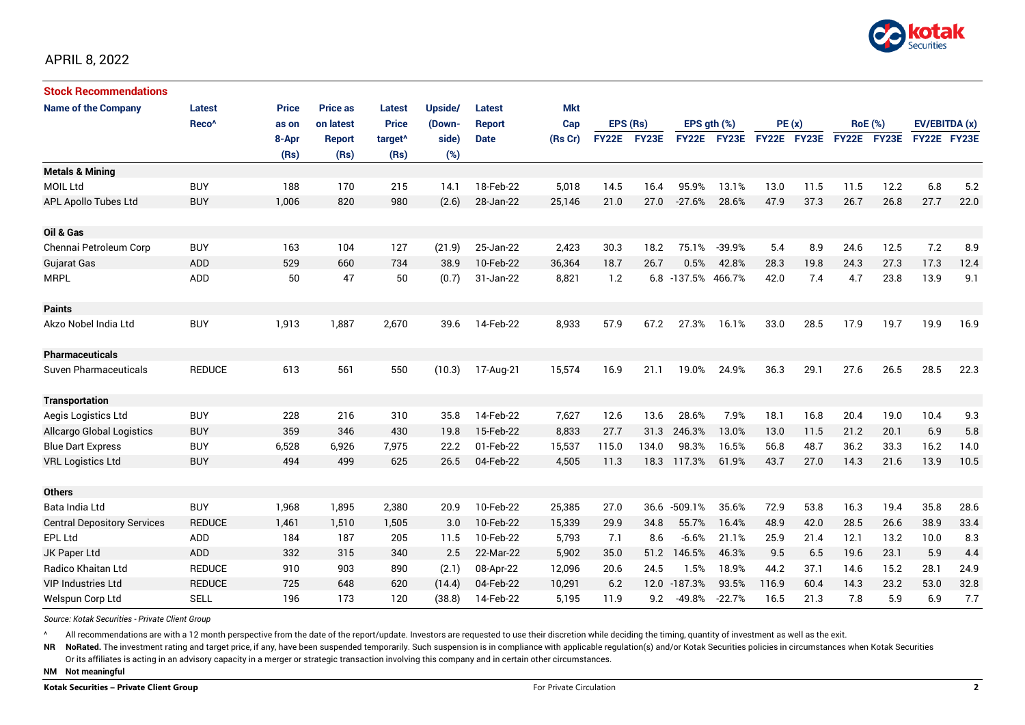

| <b>Stock Recommendations</b>       |                   |              |                 |                     |         |               |            |              |       |              |                  |             |      |                |             |               |      |
|------------------------------------|-------------------|--------------|-----------------|---------------------|---------|---------------|------------|--------------|-------|--------------|------------------|-------------|------|----------------|-------------|---------------|------|
| <b>Name of the Company</b>         | Latest            | <b>Price</b> | <b>Price as</b> | <b>Latest</b>       | Upside/ | Latest        | <b>Mkt</b> |              |       |              |                  |             |      |                |             |               |      |
|                                    | Reco <sup>^</sup> | as on        | on latest       | <b>Price</b>        | (Down-  | <b>Report</b> | Cap        | EPS (Rs)     |       |              | EPS $qth$ $(\%)$ | PE(x)       |      | <b>RoE</b> (%) |             | EV/EBITDA (x) |      |
|                                    |                   | 8-Apr        | Report          | target <sup>^</sup> | side)   | <b>Date</b>   | (Rs Cr)    | <b>FY22E</b> | FY23E | <b>FY22E</b> | <b>FY23E</b>     | FY22E FY23E |      |                | FY22E FY23E | FY22E FY23E   |      |
|                                    |                   | (Rs)         | (Rs)            | (Rs)                | (%)     |               |            |              |       |              |                  |             |      |                |             |               |      |
| <b>Metals &amp; Mining</b>         |                   |              |                 |                     |         |               |            |              |       |              |                  |             |      |                |             |               |      |
| <b>MOIL Ltd</b>                    | <b>BUY</b>        | 188          | 170             | 215                 | 14.1    | 18-Feb-22     | 5,018      | 14.5         | 16.4  | 95.9%        | 13.1%            | 13.0        | 11.5 | 11.5           | 12.2        | 6.8           | 5.2  |
| APL Apollo Tubes Ltd               | <b>BUY</b>        | 1,006        | 820             | 980                 | (2.6)   | 28-Jan-22     | 25,146     | 21.0         | 27.0  | $-27.6%$     | 28.6%            | 47.9        | 37.3 | 26.7           | 26.8        | 27.7          | 22.0 |
|                                    |                   |              |                 |                     |         |               |            |              |       |              |                  |             |      |                |             |               |      |
| Oil & Gas                          |                   |              |                 |                     |         |               |            |              |       |              |                  |             |      |                |             |               |      |
| Chennai Petroleum Corp             | <b>BUY</b>        | 163          | 104             | 127                 | (21.9)  | 25-Jan-22     | 2,423      | 30.3         | 18.2  | 75.1%        | $-39.9%$         | 5.4         | 8.9  | 24.6           | 12.5        | 7.2           | 8.9  |
| Gujarat Gas                        | ADD               | 529          | 660             | 734                 | 38.9    | 10-Feb-22     | 36,364     | 18.7         | 26.7  | 0.5%         | 42.8%            | 28.3        | 19.8 | 24.3           | 27.3        | 17.3          | 12.4 |
| <b>MRPL</b>                        | <b>ADD</b>        | 50           | 47              | 50                  | (0.7)   | 31-Jan-22     | 8,821      | 1.2          | 6.8   | $-137.5%$    | 466.7%           | 42.0        | 7.4  | 4.7            | 23.8        | 13.9          | 9.1  |
|                                    |                   |              |                 |                     |         |               |            |              |       |              |                  |             |      |                |             |               |      |
| <b>Paints</b>                      |                   |              |                 |                     |         |               |            |              |       |              |                  |             |      |                |             |               |      |
| Akzo Nobel India Ltd               | <b>BUY</b>        | 1,913        | 1,887           | 2,670               | 39.6    | 14-Feb-22     | 8,933      | 57.9         | 67.2  | 27.3%        | 16.1%            | 33.0        | 28.5 | 17.9           | 19.7        | 19.9          | 16.9 |
|                                    |                   |              |                 |                     |         |               |            |              |       |              |                  |             |      |                |             |               |      |
| <b>Pharmaceuticals</b>             |                   |              |                 |                     |         |               |            |              |       |              |                  |             |      |                |             |               |      |
| <b>Suven Pharmaceuticals</b>       | <b>REDUCE</b>     | 613          | 561             | 550                 | (10.3)  | 17-Aug-21     | 15,574     | 16.9         | 21.1  | 19.0%        | 24.9%            | 36.3        | 29.1 | 27.6           | 26.5        | 28.5          | 22.3 |
|                                    |                   |              |                 |                     |         |               |            |              |       |              |                  |             |      |                |             |               |      |
| <b>Transportation</b>              |                   |              |                 |                     |         |               |            |              |       |              |                  |             |      |                |             |               |      |
| Aegis Logistics Ltd                | <b>BUY</b>        | 228          | 216             | 310                 | 35.8    | 14-Feb-22     | 7,627      | 12.6         | 13.6  | 28.6%        | 7.9%             | 18.1        | 16.8 | 20.4           | 19.0        | 10.4          | 9.3  |
| <b>Allcargo Global Logistics</b>   | <b>BUY</b>        | 359          | 346             | 430                 | 19.8    | 15-Feb-22     | 8,833      | 27.7         | 31.3  | 246.3%       | 13.0%            | 13.0        | 11.5 | 21.2           | 20.1        | 6.9           | 5.8  |
| <b>Blue Dart Express</b>           | <b>BUY</b>        | 6,528        | 6,926           | 7,975               | 22.2    | 01-Feb-22     | 15,537     | 115.0        | 134.0 | 98.3%        | 16.5%            | 56.8        | 48.7 | 36.2           | 33.3        | 16.2          | 14.0 |
| <b>VRL Logistics Ltd</b>           | <b>BUY</b>        | 494          | 499             | 625                 | 26.5    | 04-Feb-22     | 4,505      | 11.3         | 18.3  | 117.3%       | 61.9%            | 43.7        | 27.0 | 14.3           | 21.6        | 13.9          | 10.5 |
|                                    |                   |              |                 |                     |         |               |            |              |       |              |                  |             |      |                |             |               |      |
| <b>Others</b>                      |                   |              |                 |                     |         |               |            |              |       |              |                  |             |      |                |             |               |      |
| Bata India Ltd                     | <b>BUY</b>        | 1,968        | 1,895           | 2,380               | 20.9    | 10-Feb-22     | 25,385     | 27.0         | 36.6  | $-509.1%$    | 35.6%            | 72.9        | 53.8 | 16.3           | 19.4        | 35.8          | 28.6 |
| <b>Central Depository Services</b> | <b>REDUCE</b>     | 1,461        | 1,510           | 1,505               | 3.0     | 10-Feb-22     | 15,339     | 29.9         | 34.8  | 55.7%        | 16.4%            | 48.9        | 42.0 | 28.5           | 26.6        | 38.9          | 33.4 |
| EPL Ltd                            | <b>ADD</b>        | 184          | 187             | 205                 | 11.5    | 10-Feb-22     | 5,793      | 7.1          | 8.6   | $-6.6%$      | 21.1%            | 25.9        | 21.4 | 12.1           | 13.2        | 10.0          | 8.3  |
| JK Paper Ltd                       | <b>ADD</b>        | 332          | 315             | 340                 | 2.5     | 22-Mar-22     | 5,902      | 35.0         | 51.2  | 146.5%       | 46.3%            | 9.5         | 6.5  | 19.6           | 23.1        | 5.9           | 4.4  |
| <b>Radico Khaitan Ltd</b>          | <b>REDUCE</b>     | 910          | 903             | 890                 | (2.1)   | 08-Apr-22     | 12,096     | 20.6         | 24.5  | 1.5%         | 18.9%            | 44.2        | 37.1 | 14.6           | 15.2        | 28.1          | 24.9 |
| <b>VIP Industries Ltd</b>          | <b>REDUCE</b>     | 725          | 648             | 620                 | (14.4)  | 04-Feb-22     | 10,291     | 6.2          |       | 12.0 -187.3% | 93.5%            | 116.9       | 60.4 | 14.3           | 23.2        | 53.0          | 32.8 |
| Welspun Corp Ltd                   | SELL              | 196          | 173             | 120                 | (38.8)  | 14-Feb-22     | 5,195      | 11.9         | 9.2   | $-49.8%$     | $-22.7%$         | 16.5        | 21.3 | 7.8            | 5.9         | 6.9           | 7.7  |

*Source: Kotak Securities - Private Client Group*

All recommendations are with a 12 month perspective from the date of the report/update. Investors are requested to use their discretion while deciding the timing, quantity of investment as well as the exit.

NR NoRated. The investment rating and target price, if any, have been suspended temporarily. Such suspension is in compliance with applicable regulation(s) and/or Kotak Securities policies in circumstances when Kotak Secur

Or its affiliates is acting in an advisory capacity in a merger or strategic transaction involving this company and in certain other circumstances.

**NM Not meaningful**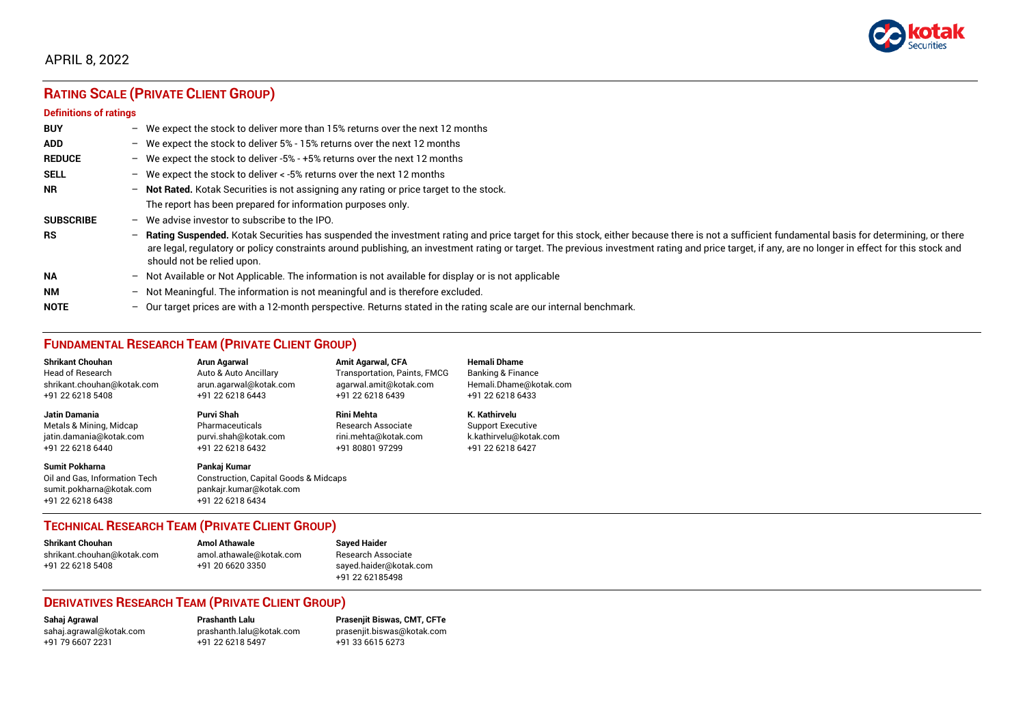

# **RATING SCALE (PRIVATE CLIENT GROUP)**

#### **Definitions of ratings**

| <b>BUY</b>       |                          | - We expect the stock to deliver more than 15% returns over the next 12 months                                                                                                                                                                                                                                                                                                                                                   |
|------------------|--------------------------|----------------------------------------------------------------------------------------------------------------------------------------------------------------------------------------------------------------------------------------------------------------------------------------------------------------------------------------------------------------------------------------------------------------------------------|
| <b>ADD</b>       |                          | - We expect the stock to deliver $5\%$ - 15% returns over the next 12 months                                                                                                                                                                                                                                                                                                                                                     |
| <b>REDUCE</b>    |                          | - We expect the stock to deliver -5% - +5% returns over the next 12 months                                                                                                                                                                                                                                                                                                                                                       |
| <b>SELL</b>      |                          | - We expect the stock to deliver $\lt$ -5% returns over the next 12 months                                                                                                                                                                                                                                                                                                                                                       |
| <b>NR</b>        | $\overline{\phantom{0}}$ | Not Rated. Kotak Securities is not assigning any rating or price target to the stock.                                                                                                                                                                                                                                                                                                                                            |
|                  |                          | The report has been prepared for information purposes only.                                                                                                                                                                                                                                                                                                                                                                      |
| <b>SUBSCRIBE</b> | $-$                      | We advise investor to subscribe to the IPO.                                                                                                                                                                                                                                                                                                                                                                                      |
| <b>RS</b>        | -                        | Rating Suspended. Kotak Securities has suspended the investment rating and price target for this stock, either because there is not a sufficient fundamental basis for determining, or there<br>are legal, regulatory or policy constraints around publishing, an investment rating or target. The previous investment rating and price target, if any, are no longer in effect for this stock and<br>should not be relied upon. |
| <b>NA</b>        |                          | $-$ Not Available or Not Applicable. The information is not available for display or is not applicable                                                                                                                                                                                                                                                                                                                           |
| <b>NM</b>        | $-$                      | Not Meaningful. The information is not meaningful and is therefore excluded.                                                                                                                                                                                                                                                                                                                                                     |
| <b>NOTE</b>      | $\overline{\phantom{0}}$ | Our target prices are with a 12-month perspective. Returns stated in the rating scale are our internal benchmark.                                                                                                                                                                                                                                                                                                                |

# **FUNDAMENTAL RESEARCH TEAM (PRIVATE CLIENT GROUP)**

| <b>Shrikant Chouhan</b>                                                                                | Arun Agarwal                                                                                                    | <b>Amit Agarwal, CFA</b>            | <b>Hemali Dhame</b>          |
|--------------------------------------------------------------------------------------------------------|-----------------------------------------------------------------------------------------------------------------|-------------------------------------|------------------------------|
| <b>Head of Research</b>                                                                                | Auto & Auto Ancillary                                                                                           | <b>Transportation, Paints, FMCG</b> | <b>Banking &amp; Finance</b> |
| shrikant.chouhan@kotak.com                                                                             | arun.agarwal@kotak.com                                                                                          | agarwal.amit@kotak.com              | Hemali.Dhame@kotak.com       |
| +91 22 6218 5408                                                                                       | +91 22 6218 6443                                                                                                | +91 22 6218 6439                    | +91 22 6218 6433             |
| <b>Jatin Damania</b>                                                                                   | Purvi Shah                                                                                                      | <b>Rini Mehta</b>                   | K. Kathirvelu                |
| Metals & Mining, Midcap                                                                                | Pharmaceuticals                                                                                                 | <b>Research Associate</b>           | <b>Support Executive</b>     |
| jatin.damania@kotak.com                                                                                | purvi.shah@kotak.com                                                                                            | rini.mehta@kotak.com                | k.kathirvelu@kotak.com       |
| +91 22 6218 6440                                                                                       | +91 22 6218 6432                                                                                                | +91 80801 97299                     | +91 22 6218 6427             |
| <b>Sumit Pokharna</b><br>Oil and Gas. Information Tech<br>sumit.pokharna@kotak.com<br>+91 22 6218 6438 | Pankaj Kumar<br><b>Construction, Capital Goods &amp; Midcaps</b><br>pankajr.kumar@kotak.com<br>+91 22 6218 6434 |                                     |                              |

## **TECHNICAL RESEARCH TEAM (PRIVATE CLIENT GROUP)**

| <b>Shrikant Chouhan</b>    | <b>Amol Athawale</b>    |   |
|----------------------------|-------------------------|---|
| shrikant.chouhan@kotak.com | amol.athawale@kotak.com |   |
| +91 22 6218 5408           | +91 20 6620 3350        | s |
|                            |                         |   |

#### **Shrikant Chouhan Amol Athawale Sayed Haider** Research Associate [sayed.haider@kotak.com](mailto:sayed.haider@kotak.com) +91 22 62185498

## **DERIVATIVES RESEARCH TEAM (PRIVATE CLIENT GROUP)**

[sahaj.agrawal@kotak.com](mailto:sahaj.agrawal@kotak.com) [prashanth.lalu@kotak.com](mailto:prashanth.lalu@kotak.com) [prasenjit.biswas@kotak.com](mailto:prasenjit.biswas@kotak.com) +91 22 6218 5497 +91 33 6615 6273

**Sahaj Agrawal Prashanth Lalu Prasenjit Biswas, CMT, CFTe**